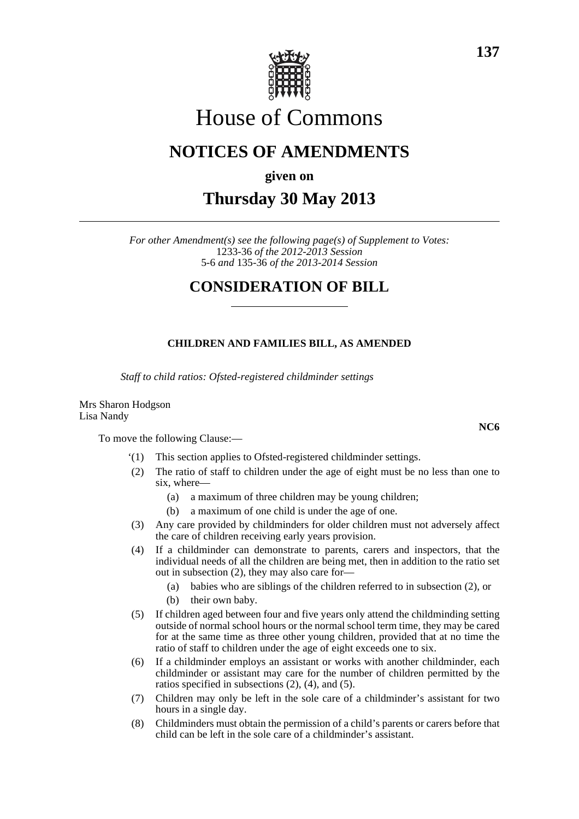

# House of Commons

# **NOTICES OF AMENDMENTS**

**given on**

# **Thursday 30 May 2013**

*For other Amendment(s) see the following page(s) of Supplement to Votes:* 1233-36 *of the 2012-2013 Session* 5-6 *and* 135-36 *of the 2013-2014 Session*

# **CONSIDERATION OF BILL**

## **CHILDREN AND FAMILIES BILL, AS AMENDED**

*Staff to child ratios: Ofsted-registered childminder settings*

Mrs Sharon Hodgson Lisa Nandy

To move the following Clause:—

- '(1) This section applies to Ofsted-registered childminder settings.
- (2) The ratio of staff to children under the age of eight must be no less than one to six, where—
	- (a) a maximum of three children may be young children;
	- (b) a maximum of one child is under the age of one.
- (3) Any care provided by childminders for older children must not adversely affect the care of children receiving early years provision.
- (4) If a childminder can demonstrate to parents, carers and inspectors, that the individual needs of all the children are being met, then in addition to the ratio set out in subsection (2), they may also care for—
	- (a) babies who are siblings of the children referred to in subsection (2), or
	- (b) their own baby.
- (5) If children aged between four and five years only attend the childminding setting outside of normal school hours or the normal school term time, they may be cared for at the same time as three other young children, provided that at no time the ratio of staff to children under the age of eight exceeds one to six.
- (6) If a childminder employs an assistant or works with another childminder, each childminder or assistant may care for the number of children permitted by the ratios specified in subsections (2), (4), and (5).
- (7) Children may only be left in the sole care of a childminder's assistant for two hours in a single day.
- (8) Childminders must obtain the permission of a child's parents or carers before that child can be left in the sole care of a childminder's assistant.

**NC6**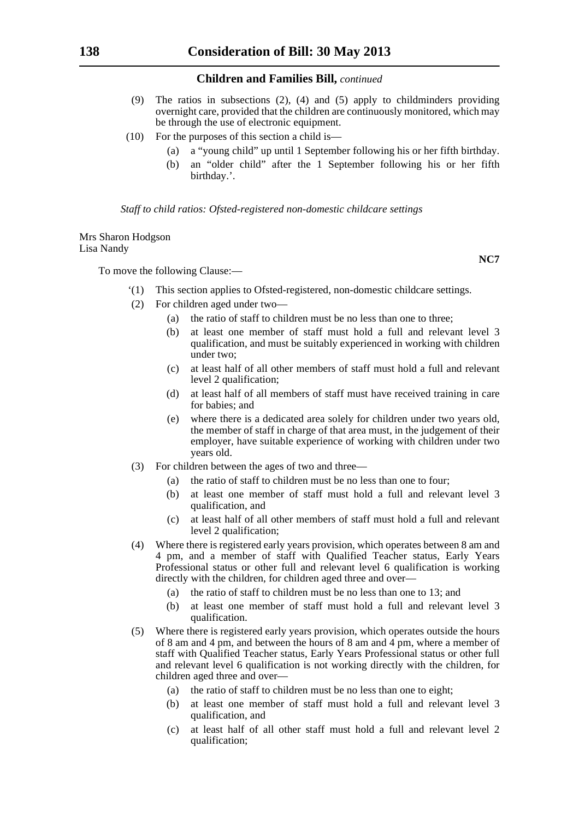### **Children and Families Bill,** *continued*

- (9) The ratios in subsections (2), (4) and (5) apply to childminders providing overnight care, provided that the children are continuously monitored, which may be through the use of electronic equipment.
- (10) For the purposes of this section a child is—
	- (a) a "young child" up until 1 September following his or her fifth birthday.
	- (b) an "older child" after the 1 September following his or her fifth birthday.'.

### *Staff to child ratios: Ofsted-registered non-domestic childcare settings*

#### Mrs Sharon Hodgson Lisa Nandy

To move the following Clause:—

- '(1) This section applies to Ofsted-registered, non-domestic childcare settings.
- (2) For children aged under two—
	- (a) the ratio of staff to children must be no less than one to three;
	- (b) at least one member of staff must hold a full and relevant level 3 qualification, and must be suitably experienced in working with children under two;
	- (c) at least half of all other members of staff must hold a full and relevant level 2 qualification;
	- (d) at least half of all members of staff must have received training in care for babies; and
	- (e) where there is a dedicated area solely for children under two years old, the member of staff in charge of that area must, in the judgement of their employer, have suitable experience of working with children under two years old.
- (3) For children between the ages of two and three—
	- (a) the ratio of staff to children must be no less than one to four;
	- (b) at least one member of staff must hold a full and relevant level 3 qualification, and
	- (c) at least half of all other members of staff must hold a full and relevant level 2 qualification;
- (4) Where there is registered early years provision, which operates between 8 am and 4 pm, and a member of staff with Qualified Teacher status, Early Years Professional status or other full and relevant level 6 qualification is working directly with the children, for children aged three and over—
	- (a) the ratio of staff to children must be no less than one to 13; and
	- (b) at least one member of staff must hold a full and relevant level 3 qualification.
- (5) Where there is registered early years provision, which operates outside the hours of 8 am and 4 pm, and between the hours of 8 am and 4 pm, where a member of staff with Qualified Teacher status, Early Years Professional status or other full and relevant level 6 qualification is not working directly with the children, for children aged three and over—
	- (a) the ratio of staff to children must be no less than one to eight;
	- (b) at least one member of staff must hold a full and relevant level 3 qualification, and
	- (c) at least half of all other staff must hold a full and relevant level 2 qualification;

**NC7**